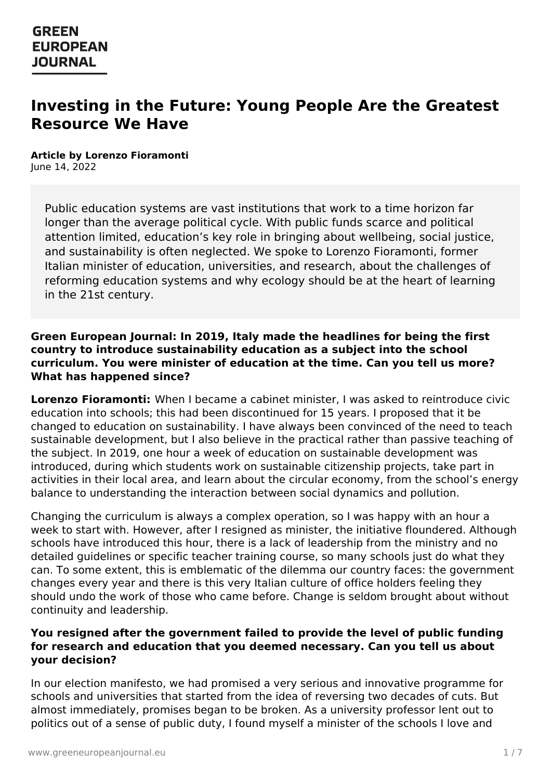# **Investing in the Future: Young People Are the Greatest Resource We Have**

**Article by Lorenzo Fioramonti** June 14, 2022

Public education systems are vast institutions that work to a time horizon far longer than the average political cycle. With public funds scarce and political attention limited, education's key role in bringing about wellbeing, social justice, and sustainability is often neglected. We spoke to Lorenzo Fioramonti, former Italian minister of education, universities, and research, about the challenges of reforming education systems and why ecology should be at the heart of learning in the 21st century.

#### **Green European Journal: In 2019, Italy made the headlines for being the first country to introduce sustainability education as a subject into the school curriculum. You were minister of education at the time. Can you tell us more? What has happened since?**

**Lorenzo Fioramonti:** When I became a cabinet minister, I was asked to reintroduce civic education into schools; this had been discontinued for 15 years. I proposed that it be changed to education on sustainability. I have always been convinced of the need to teach sustainable development, but I also believe in the practical rather than passive teaching of the subject. In 2019, one hour a week of education on sustainable development was introduced, during which students work on sustainable citizenship projects, take part in activities in their local area, and learn about the circular economy, from the school's energy balance to understanding the interaction between social dynamics and pollution.

Changing the curriculum is always a complex operation, so I was happy with an hour a week to start with. However, after I resigned as minister, the initiative floundered. Although schools have introduced this hour, there is a lack of leadership from the ministry and no detailed guidelines or specific teacher training course, so many schools just do what they can. To some extent, this is emblematic of the dilemma our country faces: the government changes every year and there is this very Italian culture of office holders feeling they should undo the work of those who came before. Change is seldom brought about without continuity and leadership.

### **You resigned after the government failed to provide the level of public funding for research and education that you deemed necessary. Can you tell us about your [decision?](https://www.greeneuropeanjournal.eu)**

In our election manifesto, we had promised a very serious and innovative programme for schools and universities that started from the idea of reversing two decades of cuts. But almost immediately, promises began to be broken. As a university professor lent out to politics out of a sense of public duty, I found myself a minister of the schools I love and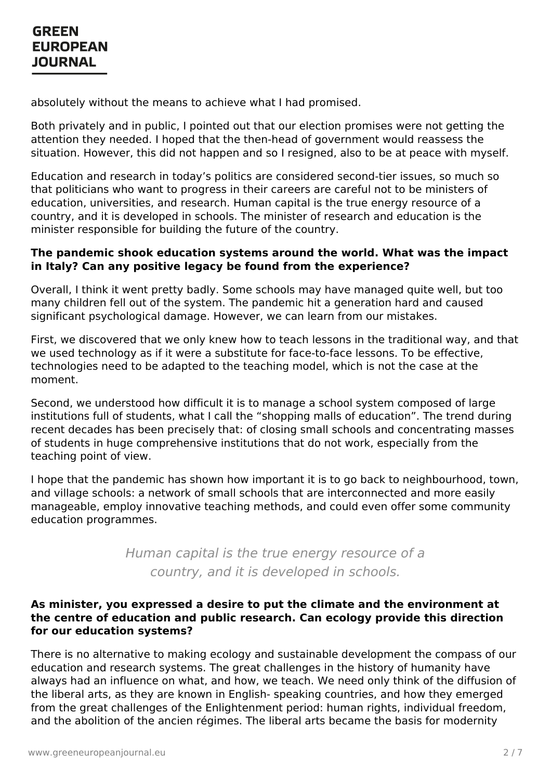absolutely without the means to achieve what I had promised.

Both privately and in public, I pointed out that our election promises were not getting the attention they needed. I hoped that the then-head of government would reassess the situation. However, this did not happen and so I resigned, also to be at peace with myself.

Education and research in today's politics are considered second-tier issues, so much so that politicians who want to progress in their careers are careful not to be ministers of education, universities, and research. Human capital is the true energy resource of a country, and it is developed in schools. The minister of research and education is the minister responsible for building the future of the country.

### **The pandemic shook education systems around the world. What was the impact in Italy? Can any positive legacy be found from the experience?**

Overall, I think it went pretty badly. Some schools may have managed quite well, but too many children fell out of the system. The pandemic hit a generation hard and caused significant psychological damage. However, we can learn from our mistakes.

First, we discovered that we only knew how to teach lessons in the traditional way, and that we used technology as if it were a substitute for face-to-face lessons. To be effective, technologies need to be adapted to the teaching model, which is not the case at the moment.

Second, we understood how difficult it is to manage a school system composed of large institutions full of students, what I call the "shopping malls of education". The trend during recent decades has been precisely that: of closing small schools and concentrating masses of students in huge comprehensive institutions that do not work, especially from the teaching point of view.

I hope that the pandemic has shown how important it is to go back to neighbourhood, town, and village schools: a network of small schools that are interconnected and more easily manageable, employ innovative teaching methods, and could even offer some community education programmes.

> Human capital is the true energy resource of a country, and it is developed in schools.

### **As minister, you expressed a desire to put the climate and the environment at the centre of education and public research. Can ecology provide this direction for our education systems?**

There is no [alternative](https://www.greeneuropeanjournal.eu) to making ecology and sustainable development the compass of our education and research systems. The great challenges in the history of humanity have always had an influence on what, and how, we teach. We need only think of the diffusion of the liberal arts, as they are known in English- speaking countries, and how they emerged from the great challenges of the Enlightenment period: human rights, individual freedom, and the abolition of the ancien régimes. The liberal arts became the basis for modernity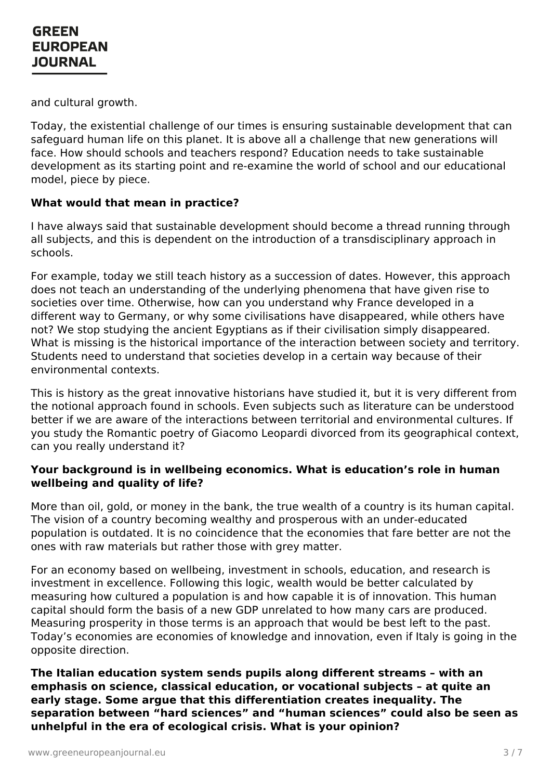and cultural growth.

Today, the existential challenge of our times is ensuring sustainable development that can safeguard human life on this planet. It is above all a challenge that new generations will face. How should schools and teachers respond? Education needs to take sustainable development as its starting point and re-examine the world of school and our educational model, piece by piece.

### **What would that mean in practice?**

I have always said that sustainable development should become a thread running through all subjects, and this is dependent on the introduction of a transdisciplinary approach in schools.

For example, today we still teach history as a succession of dates. However, this approach does not teach an understanding of the underlying phenomena that have given rise to societies over time. Otherwise, how can you understand why France developed in a different way to Germany, or why some civilisations have disappeared, while others have not? We stop studying the ancient Egyptians as if their civilisation simply disappeared. What is missing is the historical importance of the interaction between society and territory. Students need to understand that societies develop in a certain way because of their environmental contexts.

This is history as the great innovative historians have studied it, but it is very different from the notional approach found in schools. Even subjects such as literature can be understood better if we are aware of the interactions between territorial and environmental cultures. If you study the Romantic poetry of Giacomo Leopardi divorced from its geographical context, can you really understand it?

#### **Your background is in wellbeing economics. What is education's role in human wellbeing and quality of life?**

More than oil, gold, or money in the bank, the true wealth of a country is its human capital. The vision of a country becoming wealthy and prosperous with an under-educated population is outdated. It is no coincidence that the economies that fare better are not the ones with raw materials but rather those with grey matter.

For an economy based on wellbeing, investment in schools, education, and research is investment in excellence. Following this logic, wealth would be better calculated by measuring how cultured a population is and how capable it is of innovation. This human capital should form the basis of a new GDP unrelated to how many cars are produced. Measuring prosperity in those terms is an approach that would be best left to the past. Today's economies are economies of knowledge and innovation, even if Italy is going in the opposite [direction.](https://www.greeneuropeanjournal.eu)

**The Italian education system sends pupils along different streams – with an emphasis on science, classical education, or vocational subjects – at quite an early stage. Some argue that this differentiation creates inequality. The separation between "hard sciences" and "human sciences" could also be seen as unhelpful in the era of ecological crisis. What is your opinion?**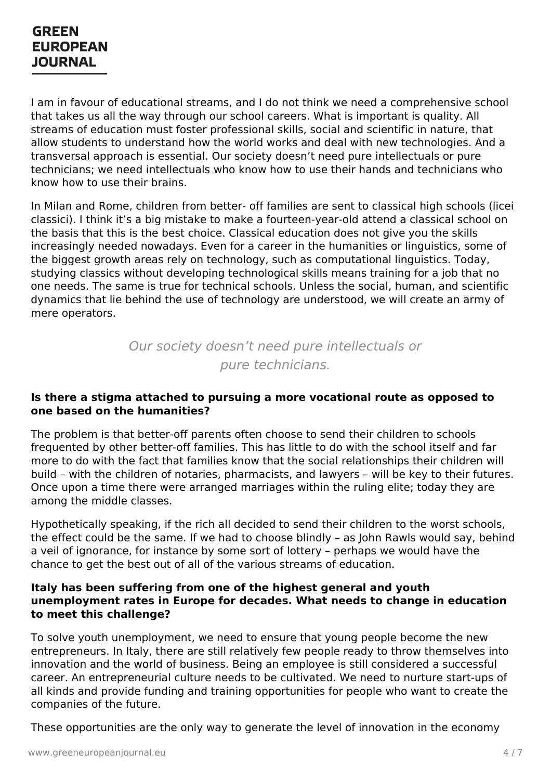I am in favour of educational streams, and I do not think we need a comprehensive school that takes us all the way through our school careers. What is important is quality. All streams of education must foster professional skills, social and scientific in nature, that allow students to understand how the world works and deal with new technologies. And a transversal approach is essential. Our society doesn't need pure intellectuals or pure technicians; we need intellectuals who know how to use their hands and technicians who know how to use their brains.

In Milan and Rome, children from better- off families are sent to classical high schools (licei classici). I think it's a big mistake to make a fourteen-year-old attend a classical school on the basis that this is the best choice. Classical education does not give you the skills increasingly needed nowadays. Even for a career in the humanities or linguistics, some of the biggest growth areas rely on technology, such as computational linguistics. Today, studying classics without developing technological skills means training for a job that no one needs. The same is true for technical schools. Unless the social, human, and scientific dynamics that lie behind the use of technology are understood, we will create an army of mere operators.

> Our society doesn't need pure intellectuals or pure technicians.

#### **Is there a stigma attached to pursuing a more vocational route as opposed to one based on the humanities?**

The problem is that better-off parents often choose to send their children to schools frequented by other better-off families. This has little to do with the school itself and far more to do with the fact that families know that the social relationships their children will build – with the children of notaries, pharmacists, and lawyers – will be key to their futures. Once upon a time there were arranged marriages within the ruling elite; today they are among the middle classes.

Hypothetically speaking, if the rich all decided to send their children to the worst schools, the effect could be the same. If we had to choose blindly – as John Rawls would say, behind a veil of ignorance, for instance by some sort of lottery – perhaps we would have the chance to get the best out of all of the various streams of education.

#### **Italy has been suffering from one of the highest general and youth unemployment rates in Europe for decades. What needs to change in education to meet this challenge?**

To solve youth unemployment, we need to ensure that young people become the new [entrepreneurs.](https://www.greeneuropeanjournal.eu) In Italy, there are still relatively few people ready to throw themselves into innovation and the world of business. Being an employee is still considered a successful career. An entrepreneurial culture needs to be cultivated. We need to nurture start-ups of all kinds and provide funding and training opportunities for people who want to create the companies of the future.

These opportunities are the only way to generate the level of innovation in the economy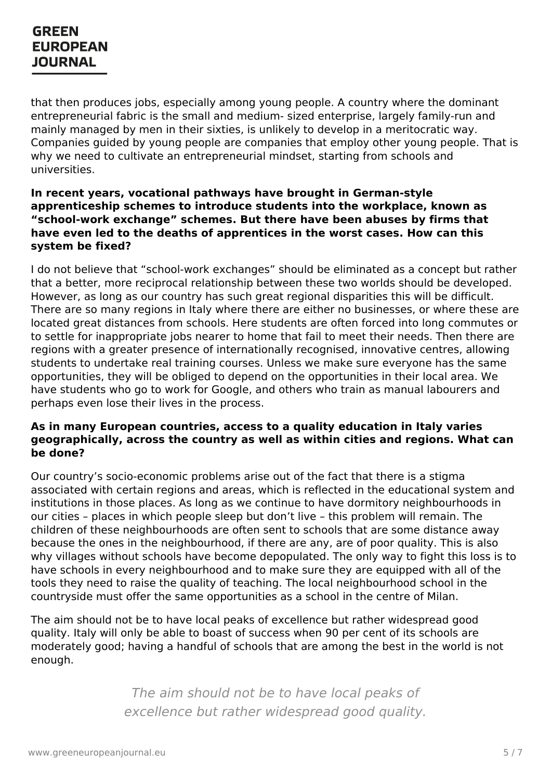that then produces jobs, especially among young people. A country where the dominant entrepreneurial fabric is the small and medium- sized enterprise, largely family-run and mainly managed by men in their sixties, is unlikely to develop in a meritocratic way. Companies guided by young people are companies that employ other young people. That is why we need to cultivate an entrepreneurial mindset, starting from schools and universities.

#### **In recent years, vocational pathways have brought in German-style apprenticeship schemes to introduce students into the workplace, known as "school-work exchange" schemes. But there have been abuses by firms that have even led to the deaths of apprentices in the worst cases. How can this system be fixed?**

I do not believe that "school-work exchanges" should be eliminated as a concept but rather that a better, more reciprocal relationship between these two worlds should be developed. However, as long as our country has such great regional disparities this will be difficult. There are so many regions in Italy where there are either no businesses, or where these are located great distances from schools. Here students are often forced into long commutes or to settle for inappropriate jobs nearer to home that fail to meet their needs. Then there are regions with a greater presence of internationally recognised, innovative centres, allowing students to undertake real training courses. Unless we make sure everyone has the same opportunities, they will be obliged to depend on the opportunities in their local area. We have students who go to work for Google, and others who train as manual labourers and perhaps even lose their lives in the process.

### **As in many European countries, access to a quality education in Italy varies geographically, across the country as well as within cities and regions. What can be done?**

Our country's socio-economic problems arise out of the fact that there is a stigma associated with certain regions and areas, which is reflected in the educational system and institutions in those places. As long as we continue to have dormitory neighbourhoods in our cities – places in which people sleep but don't live – this problem will remain. The children of these neighbourhoods are often sent to schools that are some distance away because the ones in the neighbourhood, if there are any, are of poor quality. This is also why villages without schools have become depopulated. The only way to fight this loss is to have schools in every neighbourhood and to make sure they are equipped with all of the tools they need to raise the quality of teaching. The local neighbourhood school in the countryside must offer the same opportunities as a school in the centre of Milan.

The aim should not be to have local peaks of excellence but rather widespread good quality. Italy will only be able to boast of success when 90 per cent of its schools are moderately good; having a handful of schools that are among the best in the world is not [enough.](https://www.greeneuropeanjournal.eu)

> The aim should not be to have local peaks of excellence but rather widespread good quality.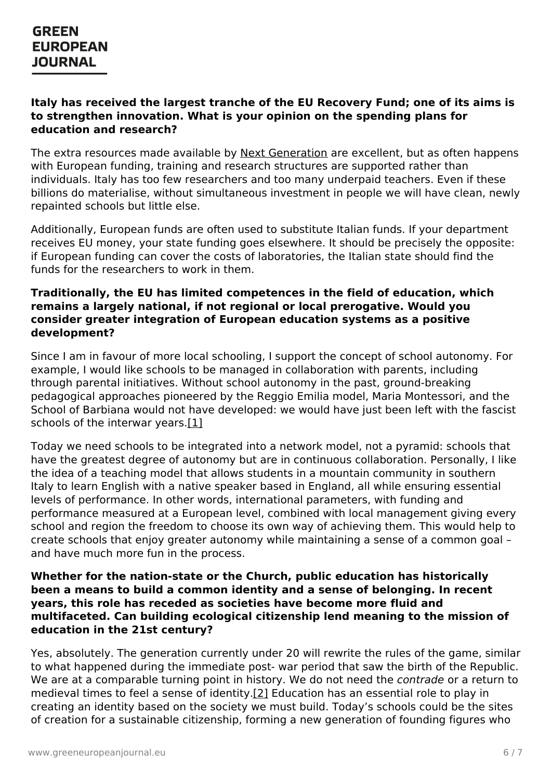### **Italy has received the largest tranche of the EU Recovery Fund; one of its aims is to strengthen innovation. What is your opinion on the spending plans for education and research?**

The extra resources made available by Next [Generation](https://europa.eu/next-generation-eu/index_en?msclkid=90503cb8cf9a11ec9a4d041887665227) are excellent, but as often happens with European funding, training and research structures are supported rather than individuals. Italy has too few researchers and too many underpaid teachers. Even if these billions do materialise, without simultaneous investment in people we will have clean, newly repainted schools but little else.

Additionally, European funds are often used to substitute Italian funds. If your department receives EU money, your state funding goes elsewhere. It should be precisely the opposite: if European funding can cover the costs of laboratories, the Italian state should find the funds for the researchers to work in them.

#### **Traditionally, the EU has limited competences in the field of education, which remains a largely national, if not regional or local prerogative. Would you consider greater integration of European education systems as a positive development?**

Since I am in favour of more local schooling, I support the concept of school autonomy. For example, I would like schools to be managed in collaboration with parents, including through parental initiatives. Without school autonomy in the past, ground-breaking pedagogical approaches pioneered by the Reggio Emilia model, Maria Montessori, and the School of Barbiana would not have developed: we would have just been left with the fascist schools of the interwar years.[1]

<span id="page-5-0"></span>Today we need schools to be integrated into a network model, not a pyramid: schools that have the greatest degree of autonomy but are in continuous collaboration. Personally, I like the idea of a teaching model that allows students in a mountain community in southern Italy to learn English with a native speaker based in England, all while ensuring essential levels of performance. In other words, international parameters, with funding and performance measured at a European level, combined with local management giving every school and region the freedom to choose its own way of achieving them. This would help to create schools that enjoy greater autonomy while maintaining a sense of a common goal – and have much more fun in the process.

#### **Whether for the nation-state or the Church, public education has historically been a means to build a common identity and a sense of belonging. In recent years, this role has receded as societies have become more fluid and multifaceted. Can building ecological citizenship lend meaning to the mission of education in the 21st century?**

Yes, [absolutely.](https://www.greeneuropeanjournal.eu) The generation currently under 20 will rewrite the rules of the game, similar to what happened during the immediate post- war period that saw the birth of the Republic. We are at a comparable turning point in history. We do not need the *contrade* or a return to medieval times to feel a sense of identity[.\[2\]](https://www.greeneuropeanjournal.eu/wp-admin/post.php?post=27764&action=edit#_ftn2) Education has an essential role to play in creating an identity based on the society we must build. Today's schools could be the sites of creation for a sustainable citizenship, forming a new generation of founding figures who